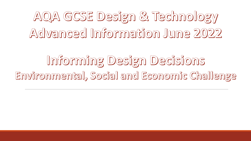AQA GCSE Design & Technology Advanced Information June 2022

Informing Design Decisions Environmental, Social and Economic Challenge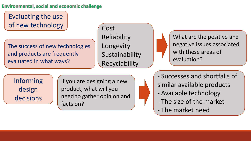Evaluating the use of new technology

The success of new technologies and products are frequently evaluated in what ways?

Cost Reliability Longevity Sustainability Recyclability



What are the positive and negative issues associated with these areas of evaluation?

Informing design decisions

If you are designing a new product, what will you need to gather opinion and facts on?

- Successes and shortfalls of similar available products

- Available technology
- The size of the market
- The market need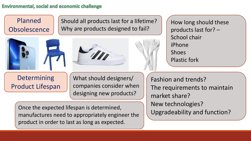Planned **Obsolescence**  Should all products last for a lifetime? Why are products designed to fail?





How long should these products last for? – School chair iPhone Shoes Plastic fork

**Determining** Product Lifespan

What should designers/ companies consider when designing new products?

Fashion and trends? The requirements to maintain market share? New technologies? Upgradeability and function?

Once the expected lifespan is determined, manufactures need to appropriately engineer the product in order to last as long as expected.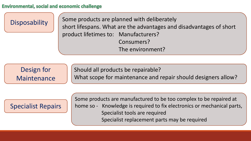Disposability  $\left| \begin{array}{c} \end{array} \right|$  Some products are planned with deliberately short lifespans. What are the advantages and disadvantages of short product lifetimes to: Manufacturers? Consumers? The environment?

Design for Maintenance

Should all products be repairable?

What scope for maintenance and repair should designers allow?

# Specialist Repairs

Some products are manufactured to be too complex to be repaired at home so - Knowledge is required to fix electronics or mechanical parts, Specialist tools are required Specialist replacement parts may be required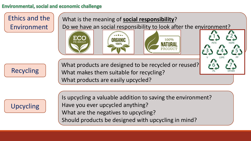Ethics and the Environment

What is the meaning of **social responsibility**? Do we have an social responsibility to look after the environment?







What products are designed to be recycled or reused? What makes them suitable for recycling? What products are easily upcycled?

Upcycling

Is upcycling a valuable addition to saving the environment? Have you ever upcycled anything? What are the negatives to upcycling? Should products be designed with upcycling in mind?